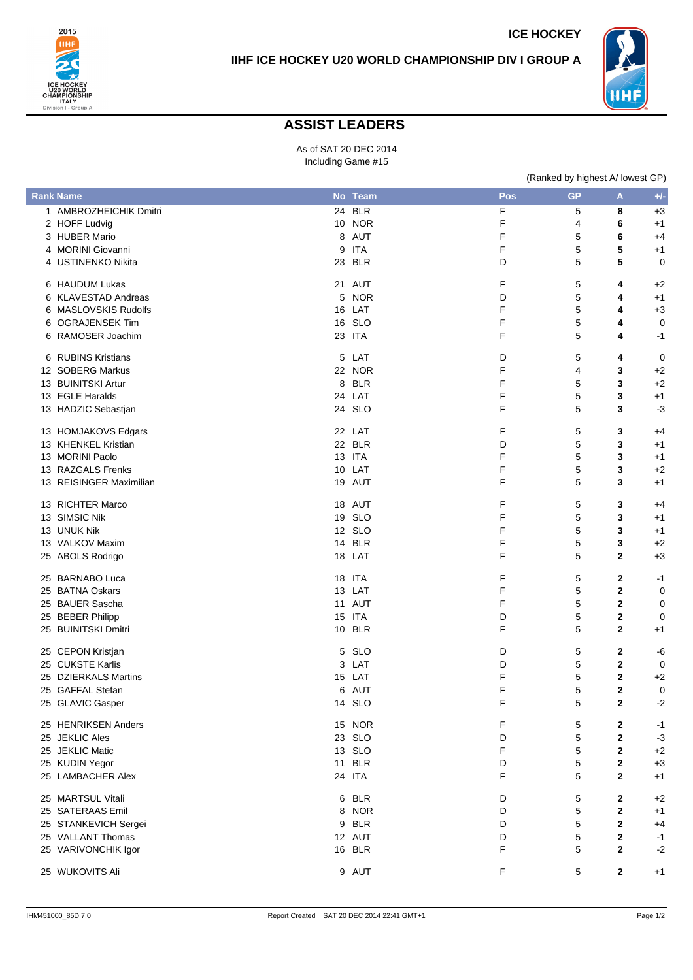



**ICE HOCKEY**

## **ASSIST LEADERS**

As of SAT 20 DEC 2014 Including Game #15

|    |                         |   |               |     | (Ranked by highest A/ lowest GP) |              |       |
|----|-------------------------|---|---------------|-----|----------------------------------|--------------|-------|
|    | <b>Rank Name</b>        |   | No Team       | Pos | <b>GP</b>                        | A            | $+/-$ |
|    | 1 AMBROZHEICHIK Dmitri  |   | 24 BLR        | F   | 5                                | 8            | $+3$  |
|    | 2 HOFF Ludvig           |   | <b>10 NOR</b> | F   | 4                                | 6            | $+1$  |
|    | 3 HUBER Mario           |   | 8 AUT         | F   | 5                                | 6            | $+4$  |
|    | 4 MORINI Giovanni       |   | 9 ITA         | F   | 5                                | 5            | $+1$  |
|    | 4 USTINENKO Nikita      |   | 23 BLR        | D   | 5                                | 5            | 0     |
|    | 6 HAUDUM Lukas          |   | 21 AUT        | F   | 5                                | 4            | $+2$  |
|    | 6 KLAVESTAD Andreas     |   | 5 NOR         | D   | 5                                | 4            | $+1$  |
|    | 6 MASLOVSKIS Rudolfs    |   | 16 LAT        | F   | 5                                | 4            | $+3$  |
|    | 6 OGRAJENSEK Tim        |   | 16 SLO        | F   | 5                                | 4            | 0     |
|    | 6 RAMOSER Joachim       |   | 23 ITA        | F   | 5                                | 4            | $-1$  |
|    | 6 RUBINS Kristians      |   | 5 LAT         | D   | 5                                | 4            | 0     |
|    | 12 SOBERG Markus        |   | 22 NOR        | F   | 4                                | 3            | $+2$  |
|    | 13 BUINITSKI Artur      |   | 8 BLR         | F   | 5                                | 3            | $+2$  |
|    | 13 EGLE Haralds         |   | 24 LAT        | F   | 5                                | 3            | $+1$  |
|    | 13 HADZIC Sebastjan     |   | 24 SLO        | F   | 5                                | 3            | $-3$  |
|    | 13 HOMJAKOVS Edgars     |   | 22 LAT        | F   | 5                                | 3            | $+4$  |
|    | 13 KHENKEL Kristian     |   | 22 BLR        | D   | 5                                | 3            | $+1$  |
|    | 13 MORINI Paolo         |   | <b>13 ITA</b> | F   | 5                                | 3            | $+1$  |
|    | 13 RAZGALS Frenks       |   | 10 LAT        | F   | 5                                | 3            | $+2$  |
|    | 13 REISINGER Maximilian |   | 19 AUT        | F   | 5                                | 3            | $+1$  |
|    | 13 RICHTER Marco        |   | 18 AUT        | F   | 5                                | 3            | $+4$  |
|    | 13 SIMSIC Nik           |   | 19 SLO        | F   | 5                                | 3            | $+1$  |
|    | 13 UNUK Nik             |   | 12 SLO        | F   | 5                                | 3            | $+1$  |
|    | 13 VALKOV Maxim         |   | 14 BLR        | F   | 5                                | 3            | $+2$  |
|    | 25 ABOLS Rodrigo        |   | 18 LAT        | F   | 5                                | 2            | $+3$  |
|    | 25 BARNABO Luca         |   | 18 ITA        | F   | 5                                | 2            | $-1$  |
|    | 25 BATNA Oskars         |   | 13 LAT        | F   | 5                                | $\mathbf{2}$ | 0     |
|    | 25 BAUER Sascha         |   | 11 AUT        | F   | 5                                | $\mathbf{2}$ | 0     |
|    | 25 BEBER Philipp        |   | 15 ITA        | D   | 5                                | $\mathbf{2}$ | 0     |
|    | 25 BUINITSKI Dmitri     |   | 10 BLR        | F   | 5                                | 2            | $+1$  |
|    | 25 CEPON Kristjan       | 5 | SLO           | D   | 5                                | 2            | -6    |
|    | 25 CUKSTE Karlis        |   | 3 LAT         | D   | 5                                | $\mathbf{2}$ | 0     |
|    | 25 DZIERKALS Martins    |   | 15 LAT        | F   | 5                                | $\mathbf{2}$ | $+2$  |
|    | 25 GAFFAL Stefan        |   | 6 AUT         | F   | 5                                | 2            | 0     |
|    | 25 GLAVIC Gasper        |   | 14 SLO        | F   | 5                                | $\mathbf{2}$ | $-2$  |
|    | 25 HENRIKSEN Anders     |   | 15 NOR        | F   | 5                                | 2            | $-1$  |
|    | 25 JEKLIC Ales          |   | 23 SLO        | D   | 5                                | $\mathbf{2}$ | $-3$  |
| 25 | <b>JEKLIC Matic</b>     |   | 13 SLO        | F   | 5                                | $\mathbf{2}$ | $+2$  |
|    | 25 KUDIN Yegor          |   | 11 BLR        | D   | 5                                | $\mathbf{2}$ | $+3$  |
|    | 25 LAMBACHER Alex       |   | 24 ITA        | F   | 5                                | $\mathbf{2}$ | $+1$  |
|    | 25 MARTSUL Vitali       |   | 6 BLR         | D   | 5                                | $\mathbf{2}$ | $+2$  |
|    | 25 SATERAAS Emil        |   | 8 NOR         | D   | 5                                | $\mathbf{2}$ | $+1$  |
|    | 25 STANKEVICH Sergei    | 9 | <b>BLR</b>    | D   | 5                                | $\mathbf{2}$ | $+4$  |
|    | 25 VALLANT Thomas       |   | 12 AUT        | D   | 5                                | 2            | $-1$  |
|    | 25 VARIVONCHIK Igor     |   | 16 BLR        | F   | 5                                | $\mathbf{2}$ | $-2$  |
|    | 25 WUKOVITS Ali         |   | 9 AUT         | F   | 5                                | $\mathbf{2}$ | $+1$  |